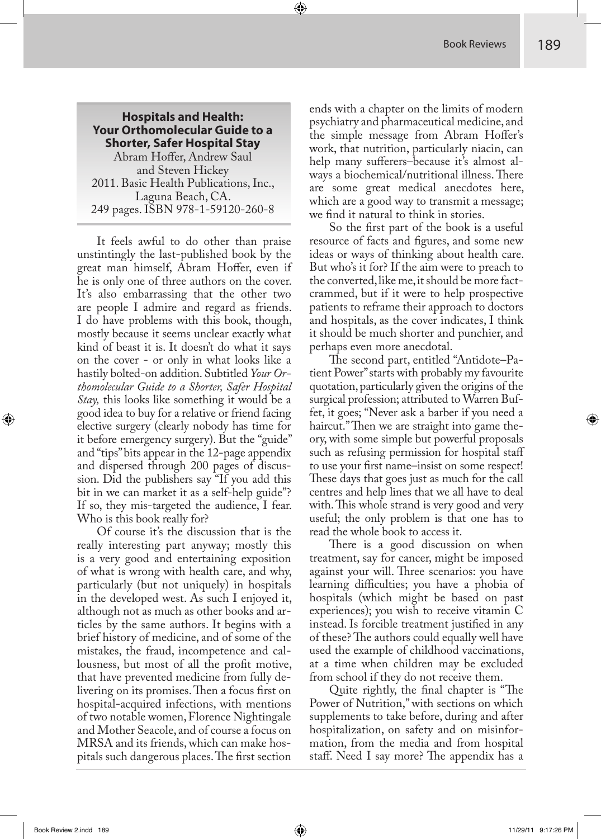**Hospitals and Health: Your Orthomolecular Guide to a Shorter, Safer Hospital Stay** Abram Hoffer, Andrew Saul and Steven Hickey 2011. Basic Health Publications, Inc., Laguna Beach, CA. 249 pages. ISBN 978-1-59120-260-8

It feels awful to do other than praise unstintingly the last-published book by the great man himself, Abram Hoffer, even if he is only one of three authors on the cover. It's also embarrassing that the other two are people I admire and regard as friends. I do have problems with this book, though, mostly because it seems unclear exactly what kind of beast it is. It doesn't do what it says on the cover - or only in what looks like a hastily bolted-on addition. Subtitled *Your Orthomolecular Guide to a Shorter, Safer Hospital Stay,* this looks like something it would be a good idea to buy for a relative or friend facing elective surgery (clearly nobody has time for it before emergency surgery). But the "guide" and "tips" bits appear in the 12-page appendix and dispersed through 200 pages of discussion. Did the publishers say "If you add this bit in we can market it as a self-help guide"? If so, they mis-targeted the audience, I fear. Who is this book really for?

Of course it's the discussion that is the really interesting part anyway; mostly this is a very good and entertaining exposition of what is wrong with health care, and why, particularly (but not uniquely) in hospitals in the developed west. As such I enjoyed it, although not as much as other books and articles by the same authors. It begins with a brief history of medicine, and of some of the mistakes, the fraud, incompetence and callousness, but most of all the profit motive, that have prevented medicine from fully delivering on its promises. Then a focus first on hospital-acquired infections, with mentions of two notable women, Florence Nightingale and Mother Seacole, and of course a focus on MRSA and its friends, which can make hospitals such dangerous places. The first section

ends with a chapter on the limits of modern psychiatry and pharmaceutical medicine, and the simple message from Abram Hoffer's work, that nutrition, particularly niacin, can help many sufferers–because it's almost always a biochemical/nutritional illness. There are some great medical anecdotes here, which are a good way to transmit a message; we find it natural to think in stories.

So the first part of the book is a useful resource of facts and figures, and some new ideas or ways of thinking about health care. But who's it for? If the aim were to preach to the converted, like me, it should be more factcrammed, but if it were to help prospective patients to reframe their approach to doctors and hospitals, as the cover indicates, I think it should be much shorter and punchier, and perhaps even more anecdotal.

The second part, entitled "Antidote–Patient Power" starts with probably my favourite quotation, particularly given the origins of the surgical profession; attributed to Warren Buffet, it goes; "Never ask a barber if you need a haircut." Then we are straight into game theory, with some simple but powerful proposals such as refusing permission for hospital staff to use your first name–insist on some respect! These days that goes just as much for the call centres and help lines that we all have to deal with. This whole strand is very good and very useful; the only problem is that one has to read the whole book to access it.

There is a good discussion on when treatment, say for cancer, might be imposed against your will. Three scenarios: you have learning difficulties; you have a phobia of hospitals (which might be based on past experiences); you wish to receive vitamin C instead. Is forcible treatment justified in any of these? The authors could equally well have used the example of childhood vaccinations, at a time when children may be excluded from school if they do not receive them.

Quite rightly, the final chapter is "The Power of Nutrition," with sections on which supplements to take before, during and after hospitalization, on safety and on misinformation, from the media and from hospital staff. Need I say more? The appendix has a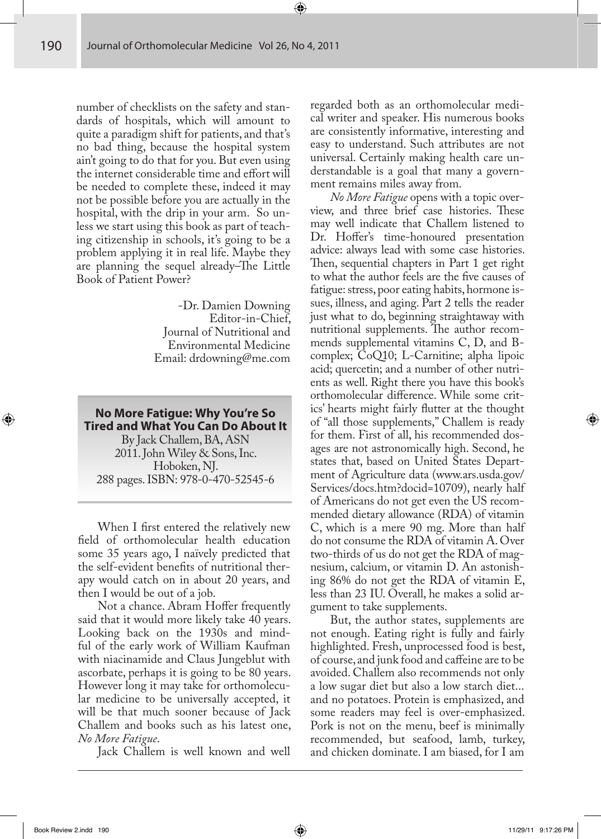number of checklists on the safety and standards of hospitals, which will amount to quite a paradigm shift for patients, and that's no bad thing, because the hospital system ain't going to do that for you. But even using the internet considerable time and effort will be needed to complete these, indeed it may not be possible before you are actually in the hospital, with the drip in your arm. So unless we start using this book as part of teaching citizenship in schools, it's going to be a problem applying it in real life. Maybe they are planning the sequel already–The Little Book of Patient Power?

> -Dr. Damien Downing Editor-in-Chief, Journal of Nutritional and Environmental Medicine Email: drdowning@me.com

**No More Fatigue: Why You're So Tired and What You Can Do About It**  By Jack Challem, BA, ASN 2011. John Wiley & Sons, Inc. Hoboken, NJ. 288 pages. ISBN: 978-0-470-52545-6

When I first entered the relatively new field of orthomolecular health education some 35 years ago, I naïvely predicted that the self-evident benefits of nutritional therapy would catch on in about 20 years, and then I would be out of a job.

Not a chance. Abram Hoffer frequently said that it would more likely take 40 years. Looking back on the 1930s and mindful of the early work of William Kaufman with niacinamide and Claus Jungeblut with ascorbate, perhaps it is going to be 80 years. However long it may take for orthomolecular medicine to be universally accepted, it will be that much sooner because of Jack Challem and books such as his latest one, *No More Fatigue*.

Jack Challem is well known and well

regarded both as an orthomolecular medical writer and speaker. His numerous books are consistently informative, interesting and easy to understand. Such attributes are not universal. Certainly making health care understandable is a goal that many a government remains miles away from.

*No More Fatigue* opens with a topic overview, and three brief case histories. These may well indicate that Challem listened to Dr. Hoffer's time-honoured presentation advice: always lead with some case histories. Then, sequential chapters in Part 1 get right to what the author feels are the five causes of fatigue: stress, poor eating habits, hormone issues, illness, and aging. Part 2 tells the reader just what to do, beginning straightaway with nutritional supplements. The author recommends supplemental vitamins C, D, and Bcomplex; CoQ10; L-Carnitine; alpha lipoic acid; quercetin; and a number of other nutrients as well. Right there you have this book's orthomolecular difference. While some critics' hearts might fairly flutter at the thought of "all those supplements," Challem is ready for them. First of all, his recommended dosages are not astronomically high. Second, he states that, based on United States Department of Agriculture data (www.ars.usda.gov/ Services/docs.htm?docid=10709), nearly half of Americans do not get even the US recommended dietary allowance (RDA) of vitamin C, which is a mere 90 mg. More than half do not consume the RDA of vitamin A. Over two-thirds of us do not get the RDA of magnesium, calcium, or vitamin D. An astonishing 86% do not get the RDA of vitamin E, less than 23 IU. Overall, he makes a solid argument to take supplements.

But, the author states, supplements are not enough. Eating right is fully and fairly highlighted. Fresh, unprocessed food is best, of course, and junk food and caffeine are to be avoided. Challem also recommends not only a low sugar diet but also a low starch diet... and no potatoes. Protein is emphasized, and some readers may feel is over-emphasized. Pork is not on the menu, beef is minimally recommended, but seafood, lamb, turkey, and chicken dominate. I am biased, for I am